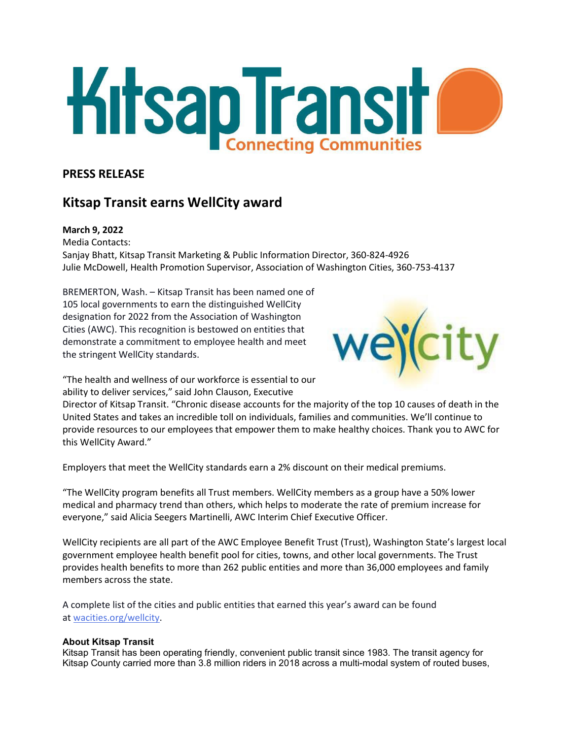

## **PRESS RELEASE**

# **Kitsap Transit earns WellCity award**

## **March 9, 2022**

Media Contacts: Sanjay Bhatt, Kitsap Transit Marketing & Public Information Director, 360-824-4926 Julie McDowell, Health Promotion Supervisor, Association of Washington Cities, 360-753-4137

BREMERTON, Wash. – Kitsap Transit has been named one of 105 local governments to earn the distinguished WellCity designation for 2022 from the Association of Washington Cities (AWC). This recognition is bestowed on entities that demonstrate a commitment to employee health and meet the stringent WellCity standards.



"The health and wellness of our workforce is essential to our ability to deliver services," said John Clauson, Executive

Director of Kitsap Transit. "Chronic disease accounts for the majority of the top 10 causes of death in the United States and takes an incredible toll on individuals, families and communities. We'll continue to provide resources to our employees that empower them to make healthy choices. Thank you to AWC for this WellCity Award."

Employers that meet the WellCity standards earn a 2% discount on their medical premiums.

"The WellCity program benefits all Trust members. WellCity members as a group have a 50% lower medical and pharmacy trend than others, which helps to moderate the rate of premium increase for everyone," said Alicia Seegers Martinelli, AWC Interim Chief Executive Officer.

WellCity recipients are all part of the AWC Employee Benefit Trust (Trust), Washington State's largest local government employee health benefit pool for cities, towns, and other local governments. The Trust provides health benefits to more than 262 public entities and more than 36,000 employees and family members across the state.

A complete list of the cities and public entities that earned this year's award can be found at [wacities.org/wellcity.](https://wacities.org/wellcity)

## **About Kitsap Transit**

Kitsap Transit has been operating friendly, convenient public transit since 1983. The transit agency for Kitsap County carried more than 3.8 million riders in 2018 across a multi-modal system of routed buses,